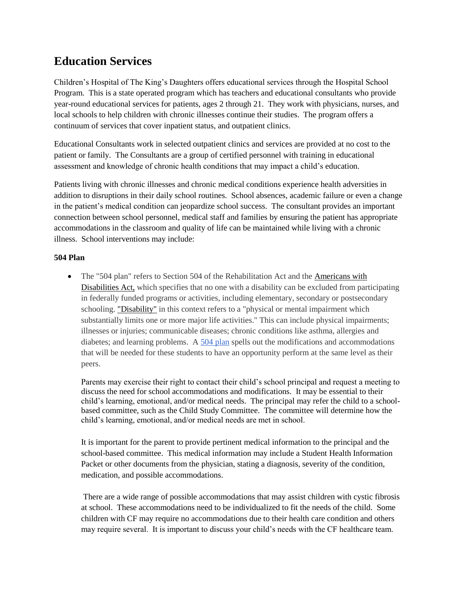# **Education Services**

Children's Hospital of The King's Daughters offers educational services through the Hospital School Program. This is a state operated program which has teachers and educational consultants who provide year-round educational services for patients, ages 2 through 21. They work with physicians, nurses, and local schools to help children with chronic illnesses continue their studies. The program offers a continuum of services that cover inpatient status, and outpatient clinics.

Educational Consultants work in selected outpatient clinics and services are provided at no cost to the patient or family. The Consultants are a group of certified personnel with training in educational assessment and knowledge of chronic health conditions that may impact a child's education.

Patients living with chronic illnesses and chronic medical conditions experience health adversities in addition to disruptions in their daily school routines. School absences, academic failure or even a change in the patient's medical condition can jeopardize school success. The consultant provides an important connection between school personnel, medical staff and families by ensuring the patient has appropriate accommodations in the classroom and quality of life can be maintained while living with a chronic illness. School interventions may include:

## **504 Plan**

• The "504 plan" refers to Section 504 of the Rehabilitation Act and the [Americans with](http://specialchildren.about.com/od/disabilityrights/qt/ada.htm) [Disabilities Act,](http://specialchildren.about.com/od/disabilityrights/qt/ada.htm) which specifies that no one with a disability can be excluded from participating in federally funded programs or activities, including elementary, secondary or postsecondary schooling. ["Disability"](http://specialchildren.about.com/od/gettingadiagnosis/p/whatare.htm) in this context refers to a "physical or mental impairment which substantially limits one or more major life activities." This can include physical impairments; illnesses or injuries; communicable diseases; chronic conditions like asthma, allergies and diabetes; and learning problems. A [504 plan](http://specialchildren.about.com/od/504s/qt/sample504.htm) spells out the modifications and accommodations that will be needed for these students to have an opportunity perform at the same level as their peers.

Parents may exercise their right to contact their child's school principal and request a meeting to discuss the need for school accommodations and modifications. It may be essential to their child's learning, emotional, and/or medical needs. The principal may refer the child to a schoolbased committee, such as the Child Study Committee. The committee will determine how the child's learning, emotional, and/or medical needs are met in school.

It is important for the parent to provide pertinent medical information to the principal and the school-based committee. This medical information may include a Student Health Information Packet or other documents from the physician, stating a diagnosis, severity of the condition, medication, and possible accommodations.

There are a wide range of possible accommodations that may assist children with cystic fibrosis at school. These accommodations need to be individualized to fit the needs of the child. Some children with CF may require no accommodations due to their health care condition and others may require several. It is important to discuss your child's needs with the CF healthcare team.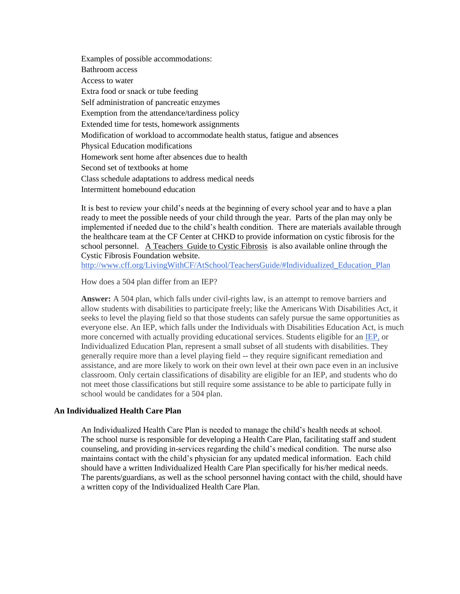Examples of possible accommodations: Bathroom access Access to water Extra food or snack or tube feeding Self administration of pancreatic enzymes Exemption from the attendance/tardiness policy Extended time for tests, homework assignments Modification of workload to accommodate health status, fatigue and absences Physical Education modifications Homework sent home after absences due to health Second set of textbooks at home Class schedule adaptations to address medical needs Intermittent homebound education

It is best to review your child's needs at the beginning of every school year and to have a plan ready to meet the possible needs of your child through the year. Parts of the plan may only be implemented if needed due to the child's health condition. There are materials available through the healthcare team at the CF Center at CHKD to provide information on cystic fibrosis for the school personnel. A Teachers Guide to Cystic Fibrosis is also available online through the Cystic Fibrosis Foundation website.

[http://www.cff.org/LivingWithCF/AtSchool/TeachersGuide/#Individualized\\_Education\\_Plan](http://www.cff.org/LivingWithCF/AtSchool/TeachersGuide/#Individualized_Education_Plan)

How does a 504 plan differ from an IEP?

**Answer:** A 504 plan, which falls under civil-rights law, is an attempt to remove barriers and allow students with disabilities to participate freely; like the Americans With Disabilities Act, it seeks to level the playing field so that those students can safely pursue the same opportunities as everyone else. An IEP, which falls under the Individuals with Disabilities Education Act, is much more concerned with actually providing educational services. Students eligible for an [IEP,](http://specialchildren.about.com/od/specialeducation/a/iepfaq.htm) or Individualized Education Plan, represent a small subset of all students with disabilities. They generally require more than a level playing field -- they require significant remediation and assistance, and are more likely to work on their own level at their own pace even in an inclusive classroom. Only certain classifications of disability are eligible for an IEP, and students who do not meet those classifications but still require some assistance to be able to participate fully in school would be candidates for a 504 plan.

## **An Individualized Health Care Plan**

An Individualized Health Care Plan is needed to manage the child's health needs at school. The school nurse is responsible for developing a Health Care Plan, facilitating staff and student counseling, and providing in-services regarding the child's medical condition. The nurse also maintains contact with the child's physician for any updated medical information. Each child should have a written Individualized Health Care Plan specifically for his/her medical needs. The parents/guardians, as well as the school personnel having contact with the child, should have a written copy of the Individualized Health Care Plan.